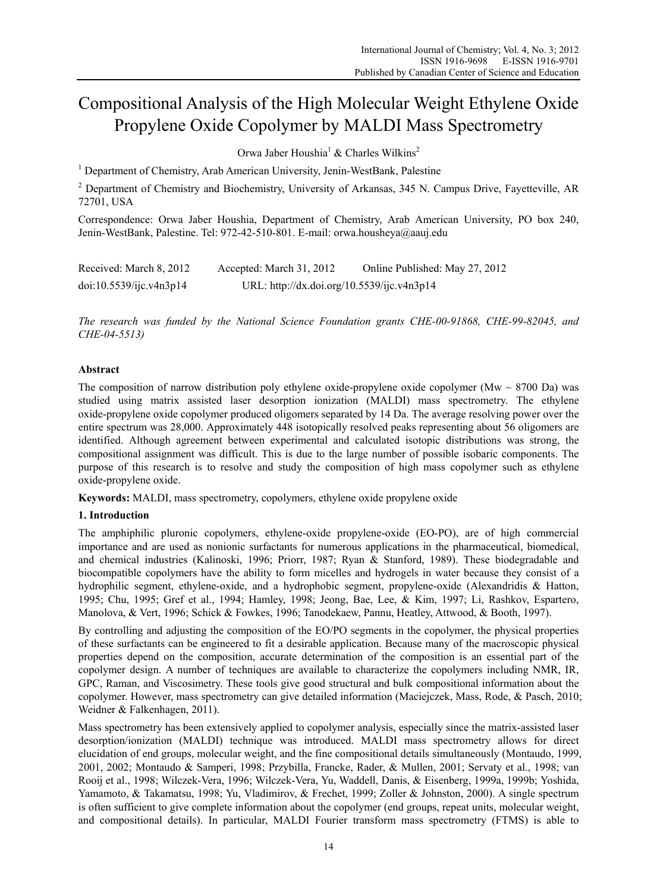# Compositional Analysis of the High Molecular Weight Ethylene Oxide Propylene Oxide Copolymer by MALDI Mass Spectrometry

Orwa Jaber Houshia<sup>1</sup> & Charles Wilkins<sup>2</sup>

<sup>1</sup> Department of Chemistry, Arab American University, Jenin-WestBank, Palestine

<sup>2</sup> Department of Chemistry and Biochemistry, University of Arkansas, 345 N. Campus Drive, Fayetteville, AR 72701, USA

Correspondence: Orwa Jaber Houshia, Department of Chemistry, Arab American University, PO box 240, Jenin-WestBank, Palestine. Tel: 972-42-510-801. E-mail: orwa.housheya@aauj.edu

| Received: March 8, 2012 | Accepted: March 31, 2012                   | Online Published: May 27, 2012 |
|-------------------------|--------------------------------------------|--------------------------------|
| doi:10.5539/ijc.v4n3p14 | URL: http://dx.doi.org/10.5539/ijc.v4n3p14 |                                |

*The research was funded by the National Science Foundation grants CHE-00-91868, CHE-99-82045, and CHE-04-5513)* 

# **Abstract**

The composition of narrow distribution poly ethylene oxide-propylene oxide copolymer (Mw  $\sim 8700$  Da) was studied using matrix assisted laser desorption ionization (MALDI) mass spectrometry. The ethylene oxide-propylene oxide copolymer produced oligomers separated by 14 Da. The average resolving power over the entire spectrum was 28,000. Approximately 448 isotopically resolved peaks representing about 56 oligomers are identified. Although agreement between experimental and calculated isotopic distributions was strong, the compositional assignment was difficult. This is due to the large number of possible isobaric components. The purpose of this research is to resolve and study the composition of high mass copolymer such as ethylene oxide-propylene oxide.

**Keywords:** MALDI, mass spectrometry, copolymers, ethylene oxide propylene oxide

# **1. Introduction**

The amphiphilic pluronic copolymers, ethylene-oxide propylene-oxide (EO-PO), are of high commercial importance and are used as nonionic surfactants for numerous applications in the pharmaceutical, biomedical, and chemical industries (Kalinoski, 1996; Priorr, 1987; Ryan & Stanford, 1989). These biodegradable and biocompatible copolymers have the ability to form micelles and hydrogels in water because they consist of a hydrophilic segment, ethylene-oxide, and a hydrophobic segment, propylene-oxide (Alexandridis & Hatton, 1995; Chu, 1995; Gref et al., 1994; Hamley, 1998; Jeong, Bae, Lee, & Kim, 1997; Li, Rashkov, Espartero, Manolova, & Vert, 1996; Schick & Fowkes, 1996; Tanodekaew, Pannu, Heatley, Attwood, & Booth, 1997).

By controlling and adjusting the composition of the EO/PO segments in the copolymer, the physical properties of these surfactants can be engineered to fit a desirable application. Because many of the macroscopic physical properties depend on the composition, accurate determination of the composition is an essential part of the copolymer design. A number of techniques are available to characterize the copolymers including NMR, IR, GPC, Raman, and Viscosimetry. These tools give good structural and bulk compositional information about the copolymer. However, mass spectrometry can give detailed information (Maciejczek, Mass, Rode, & Pasch, 2010; Weidner & Falkenhagen, 2011).

Mass spectrometry has been extensively applied to copolymer analysis, especially since the matrix-assisted laser desorption/ionization (MALDI) technique was introduced. MALDI mass spectrometry allows for direct elucidation of end groups, molecular weight, and the fine compositional details simultaneously (Montaudo, 1999, 2001, 2002; Montaudo & Samperi, 1998; Przybilla, Francke, Rader, & Mullen, 2001; Servaty et al., 1998; van Rooij et al., 1998; Wilczek-Vera, 1996; Wilczek-Vera, Yu, Waddell, Danis, & Eisenberg, 1999a, 1999b; Yoshida, Yamamoto, & Takamatsu, 1998; Yu, Vladimirov, & Frechet, 1999; Zoller & Johnston, 2000). A single spectrum is often sufficient to give complete information about the copolymer (end groups, repeat units, molecular weight, and compositional details). In particular, MALDI Fourier transform mass spectrometry (FTMS) is able to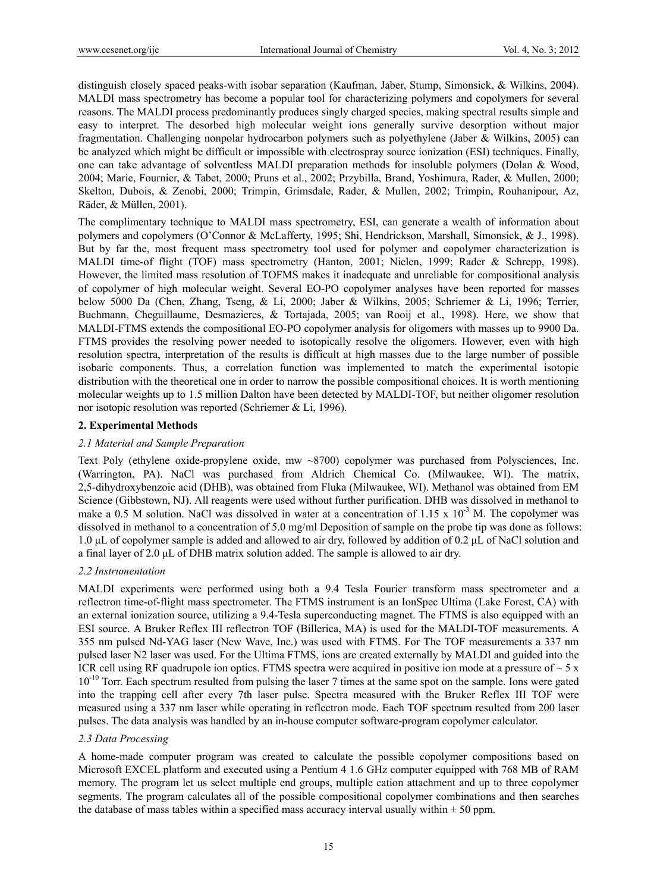distinguish closely spaced peaks-with isobar separation (Kaufman, Jaber, Stump, Simonsick, & Wilkins, 2004). MALDI mass spectrometry has become a popular tool for characterizing polymers and copolymers for several reasons. The MALDI process predominantly produces singly charged species, making spectral results simple and easy to interpret. The desorbed high molecular weight ions generally survive desorption without major fragmentation. Challenging nonpolar hydrocarbon polymers such as polyethylene (Jaber & Wilkins, 2005) can be analyzed which might be difficult or impossible with electrospray source ionization (ESI) techniques. Finally, one can take advantage of solventless MALDI preparation methods for insoluble polymers (Dolan & Wood, 2004; Marie, Fournier, & Tabet, 2000; Pruns et al., 2002; Przybilla, Brand, Yoshimura, Rader, & Mullen, 2000; Skelton, Dubois, & Zenobi, 2000; Trimpin, Grimsdale, Rader, & Mullen, 2002; Trimpin, Rouhanipour, Az, Räder, & Müllen, 2001).

The complimentary technique to MALDI mass spectrometry, ESI, can generate a wealth of information about polymers and copolymers (O'Connor & McLafferty, 1995; Shi, Hendrickson, Marshall, Simonsick, & J., 1998). But by far the, most frequent mass spectrometry tool used for polymer and copolymer characterization is MALDI time-of flight (TOF) mass spectrometry (Hanton, 2001; Nielen, 1999; Rader & Schrepp, 1998). However, the limited mass resolution of TOFMS makes it inadequate and unreliable for compositional analysis of copolymer of high molecular weight. Several EO-PO copolymer analyses have been reported for masses below 5000 Da (Chen, Zhang, Tseng, & Li, 2000; Jaber & Wilkins, 2005; Schriemer & Li, 1996; Terrier, Buchmann, Cheguillaume, Desmazieres, & Tortajada, 2005; van Rooij et al., 1998). Here, we show that MALDI-FTMS extends the compositional EO-PO copolymer analysis for oligomers with masses up to 9900 Da. FTMS provides the resolving power needed to isotopically resolve the oligomers. However, even with high resolution spectra, interpretation of the results is difficult at high masses due to the large number of possible isobaric components. Thus, a correlation function was implemented to match the experimental isotopic distribution with the theoretical one in order to narrow the possible compositional choices. It is worth mentioning molecular weights up to 1.5 million Dalton have been detected by MALDI-TOF, but neither oligomer resolution nor isotopic resolution was reported (Schriemer & Li, 1996).

## **2. Experimental Methods**

## *2.1 Material and Sample Preparation*

Text Poly (ethylene oxide-propylene oxide, mw ~8700) copolymer was purchased from Polysciences, Inc. (Warrington, PA). NaCl was purchased from Aldrich Chemical Co. (Milwaukee, WI). The matrix, 2,5-dihydroxybenzoic acid (DHB), was obtained from Fluka (Milwaukee, WI). Methanol was obtained from EM Science (Gibbstown, NJ). All reagents were used without further purification. DHB was dissolved in methanol to make a 0.5 M solution. NaCl was dissolved in water at a concentration of  $1.15 \times 10^{-3}$  M. The copolymer was dissolved in methanol to a concentration of 5.0 mg/ml Deposition of sample on the probe tip was done as follows: 1.0 μL of copolymer sample is added and allowed to air dry, followed by addition of 0.2 μL of NaCl solution and a final layer of 2.0 μL of DHB matrix solution added. The sample is allowed to air dry.

#### *2.2 Instrumentation*

MALDI experiments were performed using both a 9.4 Tesla Fourier transform mass spectrometer and a reflectron time-of-flight mass spectrometer. The FTMS instrument is an IonSpec Ultima (Lake Forest, CA) with an external ionization source, utilizing a 9.4-Tesla superconducting magnet. The FTMS is also equipped with an ESI source. A Bruker Reflex III reflectron TOF (Billerica, MA) is used for the MALDI-TOF measurements. A 355 nm pulsed Nd-YAG laser (New Wave, Inc.) was used with FTMS. For The TOF measurements a 337 nm pulsed laser N2 laser was used. For the Ultima FTMS, ions are created externally by MALDI and guided into the ICR cell using RF quadrupole ion optics. FTMS spectra were acquired in positive ion mode at a pressure of  $\sim$  5 x 10<sup>-10</sup> Torr. Each spectrum resulted from pulsing the laser 7 times at the same spot on the sample. Ions were gated into the trapping cell after every 7th laser pulse. Spectra measured with the Bruker Reflex III TOF were measured using a 337 nm laser while operating in reflectron mode. Each TOF spectrum resulted from 200 laser pulses. The data analysis was handled by an in-house computer software-program copolymer calculator.

# *2.3 Data Processing*

A home-made computer program was created to calculate the possible copolymer compositions based on Microsoft EXCEL platform and executed using a Pentium 4 1.6 GHz computer equipped with 768 MB of RAM memory. The program let us select multiple end groups, multiple cation attachment and up to three copolymer segments. The program calculates all of the possible compositional copolymer combinations and then searches the database of mass tables within a specified mass accuracy interval usually within  $\pm$  50 ppm.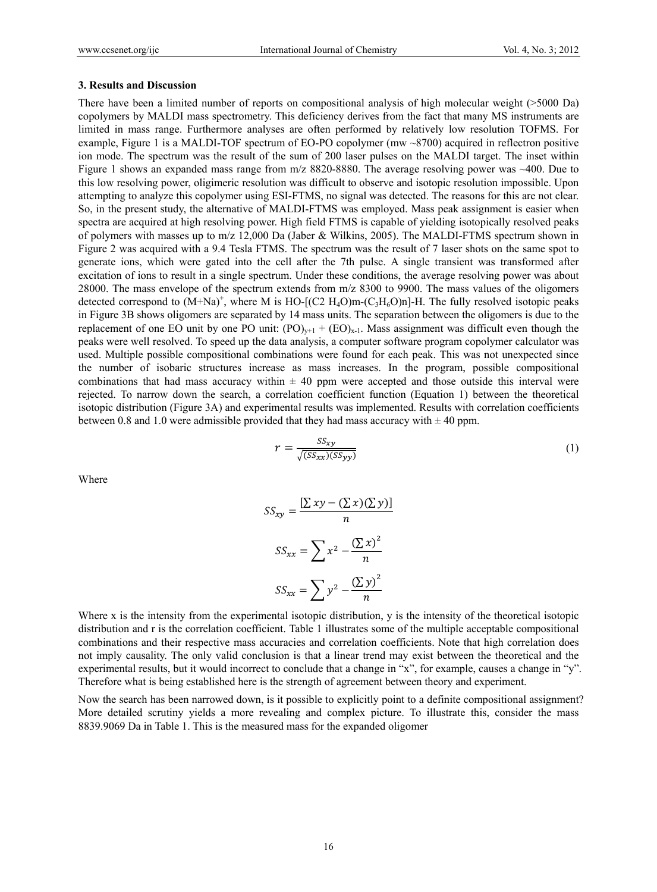#### **3. Results and Discussion**

There have been a limited number of reports on compositional analysis of high molecular weight (>5000 Da) copolymers by MALDI mass spectrometry. This deficiency derives from the fact that many MS instruments are limited in mass range. Furthermore analyses are often performed by relatively low resolution TOFMS. For example, Figure 1 is a MALDI-TOF spectrum of EO-PO copolymer (mw ~8700) acquired in reflectron positive ion mode. The spectrum was the result of the sum of 200 laser pulses on the MALDI target. The inset within Figure 1 shows an expanded mass range from m/z 8820-8880. The average resolving power was ~400. Due to this low resolving power, oligimeric resolution was difficult to observe and isotopic resolution impossible. Upon attempting to analyze this copolymer using ESI-FTMS, no signal was detected. The reasons for this are not clear. So, in the present study, the alternative of MALDI-FTMS was employed. Mass peak assignment is easier when spectra are acquired at high resolving power. High field FTMS is capable of yielding isotopically resolved peaks of polymers with masses up to m/z 12,000 Da (Jaber & Wilkins, 2005). The MALDI-FTMS spectrum shown in Figure 2 was acquired with a 9.4 Tesla FTMS. The spectrum was the result of 7 laser shots on the same spot to generate ions, which were gated into the cell after the 7th pulse. A single transient was transformed after excitation of ions to result in a single spectrum. Under these conditions, the average resolving power was about 28000. The mass envelope of the spectrum extends from m/z 8300 to 9900. The mass values of the oligomers detected correspond to  $(M+Na)^+$ , where M is HO- $[(C2 H_4O)m-(C_3H_6O)n]$ -H. The fully resolved isotopic peaks in Figure 3B shows oligomers are separated by 14 mass units. The separation between the oligomers is due to the replacement of one EO unit by one PO unit:  $(PO)_{v+1} + (EO)_{x-1}$ . Mass assignment was difficult even though the peaks were well resolved. To speed up the data analysis, a computer software program copolymer calculator was used. Multiple possible compositional combinations were found for each peak. This was not unexpected since the number of isobaric structures increase as mass increases. In the program, possible compositional combinations that had mass accuracy within  $\pm 40$  ppm were accepted and those outside this interval were rejected. To narrow down the search, a correlation coefficient function (Equation 1) between the theoretical isotopic distribution (Figure 3A) and experimental results was implemented. Results with correlation coefficients between 0.8 and 1.0 were admissible provided that they had mass accuracy with  $\pm$  40 ppm.

$$
r = \frac{SS_{xy}}{\sqrt{(SS_{xx})(SS_{yy})}}
$$
(1)

Where

$$
SS_{xy} = \frac{[\sum xy - (\sum x)(\sum y)]}{n}
$$

$$
SS_{xx} = \sum x^2 - \frac{(\sum x)^2}{n}
$$

$$
SS_{xx} = \sum y^2 - \frac{(\sum y)^2}{n}
$$

Where x is the intensity from the experimental isotopic distribution, y is the intensity of the theoretical isotopic distribution and r is the correlation coefficient. Table 1 illustrates some of the multiple acceptable compositional combinations and their respective mass accuracies and correlation coefficients. Note that high correlation does not imply causality. The only valid conclusion is that a linear trend may exist between the theoretical and the experimental results, but it would incorrect to conclude that a change in "x", for example, causes a change in "y". Therefore what is being established here is the strength of agreement between theory and experiment.

Now the search has been narrowed down, is it possible to explicitly point to a definite compositional assignment? More detailed scrutiny yields a more revealing and complex picture. To illustrate this, consider the mass 8839.9069 Da in Table 1. This is the measured mass for the expanded oligomer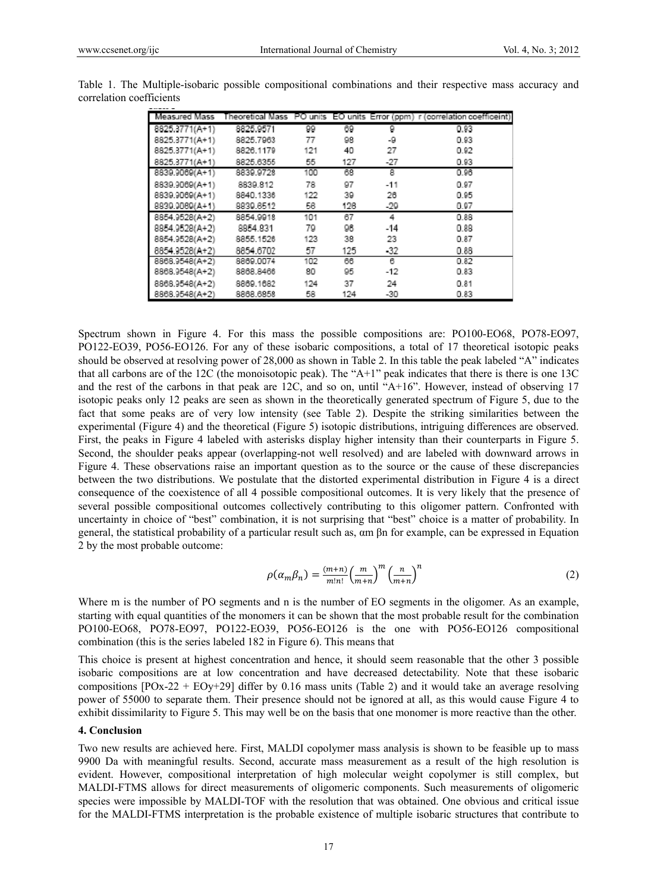| Measured Mass  |           |     |     |       | Theoretical Mass PO units EO units Error (ppm) r (correlation coefficeint) |
|----------------|-----------|-----|-----|-------|----------------------------------------------------------------------------|
| 8825.3771(A+1) | 8825.9571 | 99  | 69  | 9     | 0.93                                                                       |
| 8825.3771(A+1) | 8825.7963 | 77  | 98  | -9    | 0.93                                                                       |
| 8825.3771(A+1) | 8826.1179 | 121 | 40  | 27    | 0.92                                                                       |
| 8825.3771(A+1) | 8825.6355 | 55  | 127 | $-27$ | 0.93                                                                       |
| 8839.9069(A+1) | 8839.9728 | 100 | 68  | 8     | 0.96                                                                       |
| 8839.9069(A+1) | 8839.812  | 78  | 97  | $-11$ | 0.97                                                                       |
| 8839.9069(A+1) | 8840.1336 | 122 | 39  | 26    | 0.95                                                                       |
| 8839.9089(A+1) | 8839.6512 | 58  | 128 | -29   | 0.97                                                                       |
| 8854.9528(A+2) | 8854.9918 | 101 | 67  | 4     | 0.88                                                                       |
| 8854.9528(A+2) | 8854.831  | 79  | 96  | $-14$ | 0.88                                                                       |
| 8854.9528(A+2) | 8855.1526 | 123 | 38  | 23    | 0.87                                                                       |
| 8854.9528(A+2) | 8854.6702 | 57  | 125 | $-32$ | 0.88                                                                       |
| 8868.9548(A+2) | 8869.0074 | 102 | 66  | 6     | 0.82                                                                       |
| 8868.9548(A+2) | 8868.8466 | 80  | 95  | -12   | 0.83                                                                       |
| 8868.9548(A+2) | 8869.1682 | 124 | 37  | 24    | 0.81                                                                       |
| 8868.9548(A+2) | 8868,6858 | 58  | 124 | -30   | 0.83                                                                       |

Table 1. The Multiple-isobaric possible compositional combinations and their respective mass accuracy and correlation coefficients

Spectrum shown in Figure 4. For this mass the possible compositions are: PO100-EO68, PO78-EO97, PO122-EO39, PO56-EO126. For any of these isobaric compositions, a total of 17 theoretical isotopic peaks should be observed at resolving power of 28,000 as shown in Table 2. In this table the peak labeled "A" indicates that all carbons are of the 12C (the monoisotopic peak). The "A+1" peak indicates that there is there is one 13C and the rest of the carbons in that peak are 12C, and so on, until "A+16". However, instead of observing 17 isotopic peaks only 12 peaks are seen as shown in the theoretically generated spectrum of Figure 5, due to the fact that some peaks are of very low intensity (see Table 2). Despite the striking similarities between the experimental (Figure 4) and the theoretical (Figure 5) isotopic distributions, intriguing differences are observed. First, the peaks in Figure 4 labeled with asterisks display higher intensity than their counterparts in Figure 5. Second, the shoulder peaks appear (overlapping-not well resolved) and are labeled with downward arrows in Figure 4. These observations raise an important question as to the source or the cause of these discrepancies between the two distributions. We postulate that the distorted experimental distribution in Figure 4 is a direct consequence of the coexistence of all 4 possible compositional outcomes. It is very likely that the presence of several possible compositional outcomes collectively contributing to this oligomer pattern. Confronted with uncertainty in choice of "best" combination, it is not surprising that "best" choice is a matter of probability. In general, the statistical probability of a particular result such as, αm βn for example, can be expressed in Equation 2 by the most probable outcome:

$$
\rho(\alpha_m \beta_n) = \frac{(m+n)}{m!n!} \left(\frac{m}{m+n}\right)^m \left(\frac{n}{m+n}\right)^n \tag{2}
$$

Where m is the number of PO segments and n is the number of EO segments in the oligomer. As an example, starting with equal quantities of the monomers it can be shown that the most probable result for the combination PO100-EO68, PO78-EO97, PO122-EO39, PO56-EO126 is the one with PO56-EO126 compositional combination (this is the series labeled 182 in Figure 6). This means that

This choice is present at highest concentration and hence, it should seem reasonable that the other 3 possible isobaric compositions are at low concentration and have decreased detectability. Note that these isobaric compositions  $[POx-22 + EOy+29]$  differ by 0.16 mass units (Table 2) and it would take an average resolving power of 55000 to separate them. Their presence should not be ignored at all, as this would cause Figure 4 to exhibit dissimilarity to Figure 5. This may well be on the basis that one monomer is more reactive than the other.

## **4. Conclusion**

Two new results are achieved here. First, MALDI copolymer mass analysis is shown to be feasible up to mass 9900 Da with meaningful results. Second, accurate mass measurement as a result of the high resolution is evident. However, compositional interpretation of high molecular weight copolymer is still complex, but MALDI-FTMS allows for direct measurements of oligomeric components. Such measurements of oligomeric species were impossible by MALDI-TOF with the resolution that was obtained. One obvious and critical issue for the MALDI-FTMS interpretation is the probable existence of multiple isobaric structures that contribute to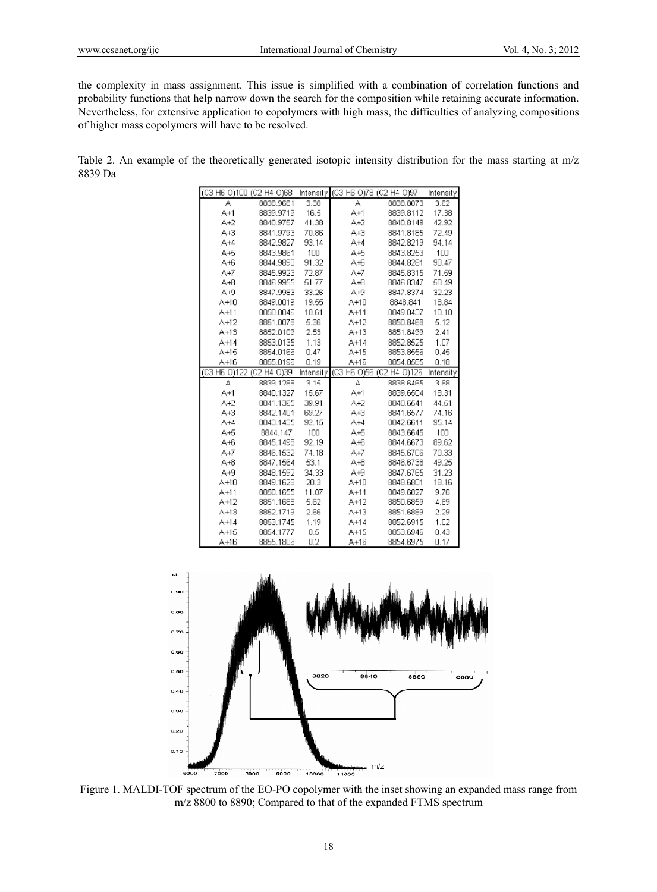the complexity in mass assignment. This issue is simplified with a combination of correlation functions and probability functions that help narrow down the search for the composition while retaining accurate information. Nevertheless, for extensive application to copolymers with high mass, the difficulties of analyzing compositions of higher mass copolymers will have to be resolved.

Table 2. An example of the theoretically generated isotopic intensity distribution for the mass starting at m/z 8839 Da

|                    |                                |              |                         | (C3 H6-0)100 (C2 H4-0)68 Intensity (C3 H6-0)78 (C2 H4-0)97 Intensity |              |
|--------------------|--------------------------------|--------------|-------------------------|----------------------------------------------------------------------|--------------|
| А                  | 8838.9681                      | 3.38         | A                       | 8838.8073                                                            | 3.62         |
| $A+1$              | 8839.9719                      | - 16.5       | A+1                     | 8839.8112                                                            | 17.38        |
| $A+2$              | 8840.9757                      | 41.38        | A+2                     | 8840.8149                                                            | 42.92        |
| A+3                | 8841.9793                      | 70.86        | $A + 3$                 | 8841.8185                                                            | 72.49        |
| A+4                | 8842.9827                      | 93.14        | A+4                     | 8842.8219                                                            | 94.14        |
| A+5                | 8843.9861                      | 100          | A+5 –                   | 8843.8253                                                            | 100          |
| A+6                | 8844.9890                      | 91.32        | А+6                     | 8844.8281                                                            | 90.47        |
| A+7                | 8845.9923                      | 72.87        | A+7                     | 8845.8315                                                            | 71.59        |
| A+8                | 8846.9955                      | 51.77        | AЮ                      | 8846.8347                                                            | 50.49        |
| $A + 9$            | 8847.9983                      | 33.26        | $A+9$                   | 8847.8374                                                            | 32.23        |
| $A+10$             | 8849.0019                      | 19.55        | $A+10$                  | 8848.841                                                             | 18.84        |
| $A+11$             | 8850.0046                      | 10.61        | $A+11$                  | 8849.8437                                                            | 10.18        |
| $A+12$             | 8851.0078                      | 5.36         | A+12                    | 8850.8468                                                            | 5.12         |
| $A+13$             | 8852.0109                      | 2.53         | A+13                    | 8851.8499                                                            | 2.41         |
| $A+14$             | 8853.0135                      | 1.13         | A+14                    | 8852.8525                                                            | 1.07         |
| A+15               | 8854.0166                      | 0.47         | A+15                    | 8853.8556                                                            | 0.45         |
| A+16               | 8855.0196                      | 0.19         | A+16                    | 8854.8585                                                            | 0.18         |
|                    |                                |              |                         |                                                                      |              |
|                    |                                |              |                         | (C3 H6 O)122 (C2 H4 O)39 Intensity (C3 H6 O)56 (C2 H4 O)126          | Intensity    |
| А                  | 8839.1288                      | 3.15         | A                       | 8838.6465                                                            | 3.88         |
| $A+1$              | 8840.1327 15.67                |              | A+1                     | 8839.6504                                                            | 18.31        |
| A+2                | 8841.1365                      | 39.91        | A+2                     | 8840.6541                                                            | 44.51        |
| A+3 –              | 8842.1401                      | 69.27        | A+3 –                   | 8841.6577                                                            | 74.16        |
| $A + 4$            | 8843.1435                      | 92.15        | $A+4$                   | 8842.6611                                                            | 95.14        |
| A+5                | 8844.147                       | 100          | A+5                     | 8843.6645                                                            | 100          |
| A+6                | 8845.1498                      | 92.19        | A+6                     | 8844.6673                                                            | 89.62        |
| A+7                | 8846.1532                      | 74.18        | A+7                     | 8845.6706                                                            | 70.33        |
| A+8                | 8847.1564                      | 53.1         | A+8                     | 8846.6738                                                            | 49.25        |
| $A + 9$            | 8848.1592                      | 34.33        | $A+9$                   | 8847.6765                                                            | 31.23        |
| $A+10$             | 8849.1628                      | 20.3         | $A+10$                  | 8848.6801                                                            | 18.16        |
| $A+11$             | 8850.1655                      | 11.07        | $A + 11$                | 8849.6827                                                            | 9.76         |
| A+12               | 8851.1688                      | 5.62         | A+12                    | 8850.6859                                                            | 4.89         |
| $A+13$             | 8852.1719                      | 2.66         | A+13                    | 8851.6889                                                            | 2.29         |
| $A+14$             | 8853.1745                      | 1.19         | $A+14$                  | 8852.6915                                                            | 1.02         |
| $A+15$<br>$A + 1C$ | 8854.1777<br>OO <i>EE</i> 100C | 0.5<br>- 0.0 | $A+15$<br>$A \perp A C$ | 8853.6946<br>00 <i>E II</i> CO7 <i>E</i>                             | 0.43<br>0.17 |



Figure 1. MALDI-TOF spectrum of the EO-PO copolymer with the inset showing an expanded mass range from m/z 8800 to 8890; Compared to that of the expanded FTMS spectrum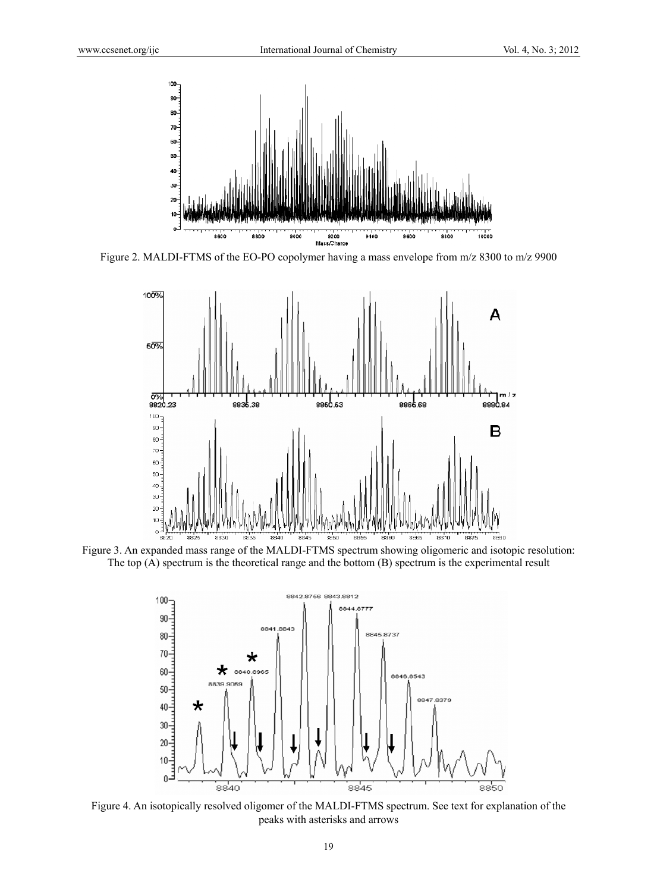

Figure 2. MALDI-FTMS of the EO-PO copolymer having a mass envelope from m/z 8300 to m/z 9900



Figure 3. An expanded mass range of the MALDI-FTMS spectrum showing oligomeric and isotopic resolution: The top (A) spectrum is the theoretical range and the bottom (B) spectrum is the experimental result



Figure 4. An isotopically resolved oligomer of the MALDI-FTMS spectrum. See text for explanation of the peaks with asterisks and arrows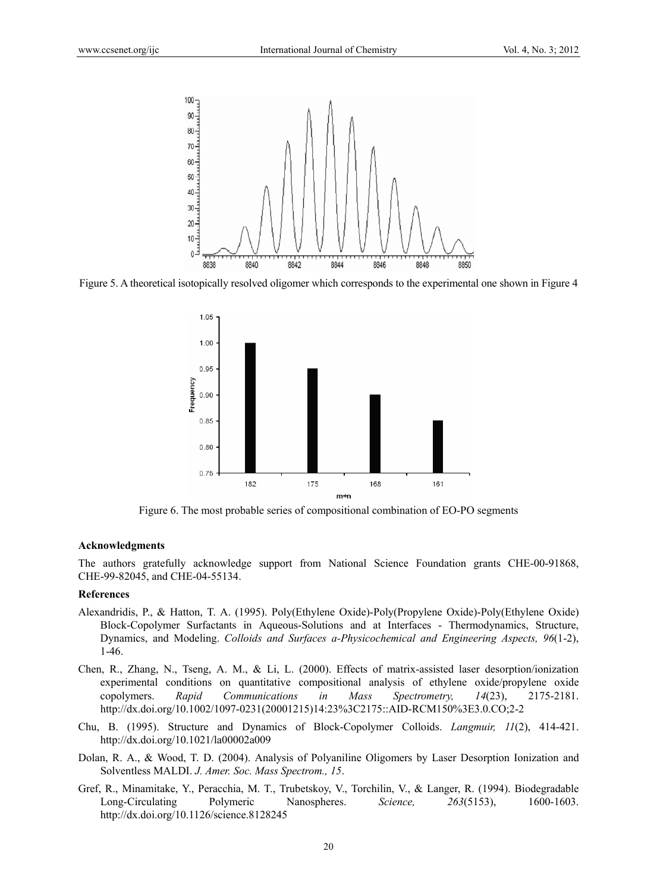

Figure 5. A theoretical isotopically resolved oligomer which corresponds to the experimental one shown in Figure 4



Figure 6. The most probable series of compositional combination of EO-PO segments

#### **Acknowledgments**

The authors gratefully acknowledge support from National Science Foundation grants CHE-00-91868, CHE-99-82045, and CHE-04-55134.

#### **References**

- Alexandridis, P., & Hatton, T. A. (1995). Poly(Ethylene Oxide)-Poly(Propylene Oxide)-Poly(Ethylene Oxide) Block-Copolymer Surfactants in Aqueous-Solutions and at Interfaces - Thermodynamics, Structure, Dynamics, and Modeling. *Colloids and Surfaces a-Physicochemical and Engineering Aspects, 96*(1-2), 1-46.
- Chen, R., Zhang, N., Tseng, A. M., & Li, L. (2000). Effects of matrix-assisted laser desorption/ionization experimental conditions on quantitative compositional analysis of ethylene oxide/propylene oxide copolymers. *Rapid Communications in Mass Spectrometry, 14*(23), 2175-2181. http://dx.doi.org/10.1002/1097-0231(20001215)14:23%3C2175::AID-RCM150%3E3.0.CO;2-2
- Chu, B. (1995). Structure and Dynamics of Block-Copolymer Colloids. *Langmuir, 11*(2), 414-421. http://dx.doi.org/10.1021/la00002a009
- Dolan, R. A., & Wood, T. D. (2004). Analysis of Polyaniline Oligomers by Laser Desorption Ionization and Solventless MALDI. *J. Amer. Soc. Mass Spectrom., 15*.
- Gref, R., Minamitake, Y., Peracchia, M. T., Trubetskoy, V., Torchilin, V., & Langer, R. (1994). Biodegradable Long-Circulating Polymeric Nanospheres. *Science, 263*(5153), 1600-1603. http://dx.doi.org/10.1126/science.8128245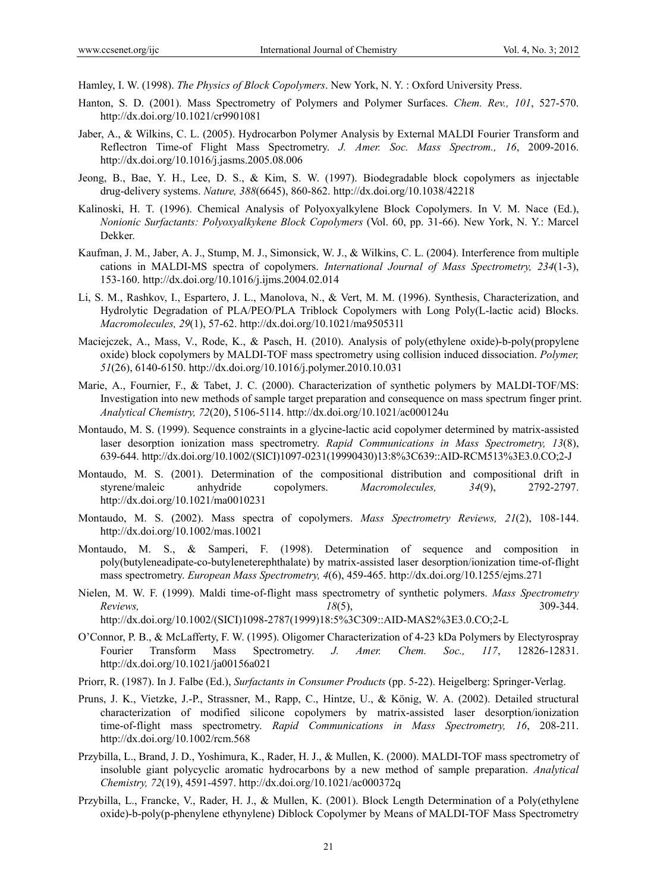Hamley, I. W. (1998). *The Physics of Block Copolymers*. New York, N. Y. : Oxford University Press.

- Hanton, S. D. (2001). Mass Spectrometry of Polymers and Polymer Surfaces. *Chem. Rev., 101*, 527-570. http://dx.doi.org/10.1021/cr9901081
- Jaber, A., & Wilkins, C. L. (2005). Hydrocarbon Polymer Analysis by External MALDI Fourier Transform and Reflectron Time-of Flight Mass Spectrometry. *J. Amer. Soc. Mass Spectrom., 16*, 2009-2016. http://dx.doi.org/10.1016/j.jasms.2005.08.006
- Jeong, B., Bae, Y. H., Lee, D. S., & Kim, S. W. (1997). Biodegradable block copolymers as injectable drug-delivery systems. *Nature, 388*(6645), 860-862. http://dx.doi.org/10.1038/42218
- Kalinoski, H. T. (1996). Chemical Analysis of Polyoxyalkylene Block Copolymers. In V. M. Nace (Ed.), *Nonionic Surfactants: Polyoxyalkykene Block Copolymers* (Vol. 60, pp. 31-66). New York, N. Y.: Marcel Dekker.
- Kaufman, J. M., Jaber, A. J., Stump, M. J., Simonsick, W. J., & Wilkins, C. L. (2004). Interference from multiple cations in MALDI-MS spectra of copolymers. *International Journal of Mass Spectrometry, 234*(1-3), 153-160. http://dx.doi.org/10.1016/j.ijms.2004.02.014
- Li, S. M., Rashkov, I., Espartero, J. L., Manolova, N., & Vert, M. M. (1996). Synthesis, Characterization, and Hydrolytic Degradation of PLA/PEO/PLA Triblock Copolymers with Long Poly(L-lactic acid) Blocks. *Macromolecules, 29*(1), 57-62. http://dx.doi.org/10.1021/ma950531l
- Maciejczek, A., Mass, V., Rode, K., & Pasch, H. (2010). Analysis of poly(ethylene oxide)-b-poly(propylene oxide) block copolymers by MALDI-TOF mass spectrometry using collision induced dissociation. *Polymer, 51*(26), 6140-6150. http://dx.doi.org/10.1016/j.polymer.2010.10.031
- Marie, A., Fournier, F., & Tabet, J. C. (2000). Characterization of synthetic polymers by MALDI-TOF/MS: Investigation into new methods of sample target preparation and consequence on mass spectrum finger print. *Analytical Chemistry, 72*(20), 5106-5114. http://dx.doi.org/10.1021/ac000124u
- Montaudo, M. S. (1999). Sequence constraints in a glycine-lactic acid copolymer determined by matrix-assisted laser desorption ionization mass spectrometry. *Rapid Communications in Mass Spectrometry, 13*(8), 639-644. http://dx.doi.org/10.1002/(SICI)1097-0231(19990430)13:8%3C639::AID-RCM513%3E3.0.CO;2-J
- Montaudo, M. S. (2001). Determination of the compositional distribution and compositional drift in styrene/maleic anhydride copolymers. *Macromolecules, 34*(9), 2792-2797. http://dx.doi.org/10.1021/ma0010231
- Montaudo, M. S. (2002). Mass spectra of copolymers. *Mass Spectrometry Reviews, 21*(2), 108-144. http://dx.doi.org/10.1002/mas.10021
- Montaudo, M. S., & Samperi, F. (1998). Determination of sequence and composition in poly(butyleneadipate-co-butyleneterephthalate) by matrix-assisted laser desorption/ionization time-of-flight mass spectrometry. *European Mass Spectrometry, 4*(6), 459-465. http://dx.doi.org/10.1255/ejms.271
- Nielen, M. W. F. (1999). Maldi time-of-flight mass spectrometry of synthetic polymers. *Mass Spectrometry Reviews, 18*(5), 309-344. http://dx.doi.org/10.1002/(SICI)1098-2787(1999)18:5%3C309::AID-MAS2%3E3.0.CO;2-L
- O'Connor, P. B., & McLafferty, F. W. (1995). Oligomer Characterization of 4-23 kDa Polymers by Electyrospray Fourier Transform Mass Spectrometry. *J. Amer. Chem. Soc., 117*, 12826-12831. http://dx.doi.org/10.1021/ja00156a021
- Priorr, R. (1987). In J. Falbe (Ed.), *Surfactants in Consumer Products* (pp. 5-22). Heigelberg: Springer-Verlag.
- Pruns, J. K., Vietzke, J.-P., Strassner, M., Rapp, C., Hintze, U., & König, W. A. (2002). Detailed structural characterization of modified silicone copolymers by matrix-assisted laser desorption/ionization time-of-flight mass spectrometry. *Rapid Communications in Mass Spectrometry, 16*, 208-211. http://dx.doi.org/10.1002/rcm.568
- Przybilla, L., Brand, J. D., Yoshimura, K., Rader, H. J., & Mullen, K. (2000). MALDI-TOF mass spectrometry of insoluble giant polycyclic aromatic hydrocarbons by a new method of sample preparation. *Analytical Chemistry, 72*(19), 4591-4597. http://dx.doi.org/10.1021/ac000372q
- Przybilla, L., Francke, V., Rader, H. J., & Mullen, K. (2001). Block Length Determination of a Poly(ethylene oxide)-b-poly(p-phenylene ethynylene) Diblock Copolymer by Means of MALDI-TOF Mass Spectrometry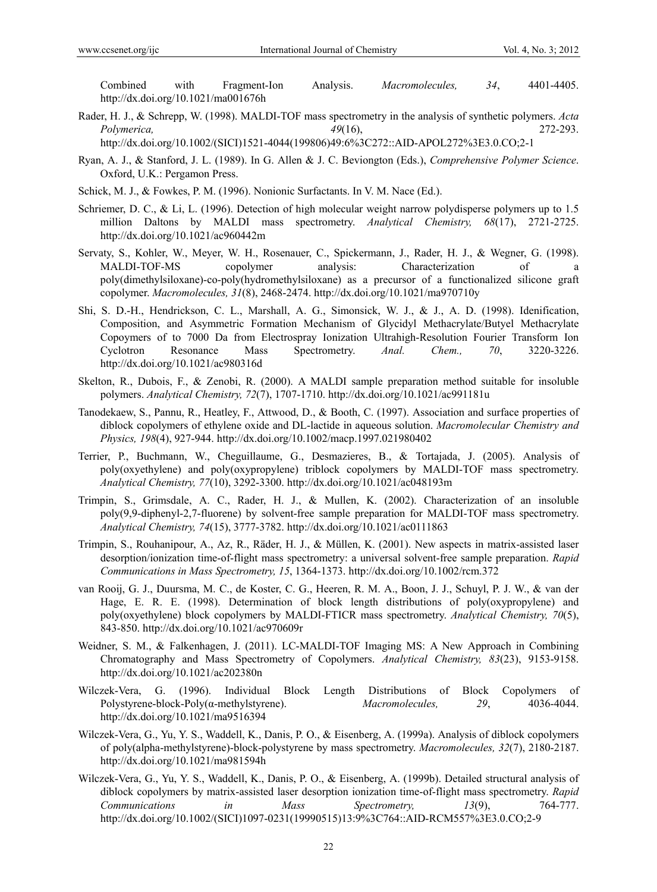Combined with Fragment-Ion Analysis. *Macromolecules, 34*, 4401-4405. http://dx.doi.org/10.1021/ma001676h

Rader, H. J., & Schrepp, W. (1998). MALDI-TOF mass spectrometry in the analysis of synthetic polymers. *Acta Polymerica, 49*(16), 272-293.

http://dx.doi.org/10.1002/(SICI)1521-4044(199806)49:6%3C272::AID-APOL272%3E3.0.CO;2-1

- Ryan, A. J., & Stanford, J. L. (1989). In G. Allen & J. C. Beviongton (Eds.), *Comprehensive Polymer Science*. Oxford, U.K.: Pergamon Press.
- Schick, M. J., & Fowkes, P. M. (1996). Nonionic Surfactants. In V. M. Nace (Ed.).
- Schriemer, D. C., & Li, L. (1996). Detection of high molecular weight narrow polydisperse polymers up to 1.5 million Daltons by MALDI mass spectrometry. *Analytical Chemistry, 68*(17), 2721-2725. http://dx.doi.org/10.1021/ac960442m
- Servaty, S., Kohler, W., Meyer, W. H., Rosenauer, C., Spickermann, J., Rader, H. J., & Wegner, G. (1998). MALDI-TOF-MS copolymer analysis: Characterization of a poly(dimethylsiloxane)-co-poly(hydromethylsiloxane) as a precursor of a functionalized silicone graft copolymer. *Macromolecules, 31*(8), 2468-2474. http://dx.doi.org/10.1021/ma970710y
- Shi, S. D.-H., Hendrickson, C. L., Marshall, A. G., Simonsick, W. J., & J., A. D. (1998). Idenification, Composition, and Asymmetric Formation Mechanism of Glycidyl Methacrylate/Butyel Methacrylate Copoymers of to 7000 Da from Electrospray Ionization Ultrahigh-Resolution Fourier Transform Ion Cyclotron Resonance Mass Spectrometry. *Anal. Chem., 70*, 3220-3226. http://dx.doi.org/10.1021/ac980316d
- Skelton, R., Dubois, F., & Zenobi, R. (2000). A MALDI sample preparation method suitable for insoluble polymers. *Analytical Chemistry, 72*(7), 1707-1710. http://dx.doi.org/10.1021/ac991181u
- Tanodekaew, S., Pannu, R., Heatley, F., Attwood, D., & Booth, C. (1997). Association and surface properties of diblock copolymers of ethylene oxide and DL-lactide in aqueous solution. *Macromolecular Chemistry and Physics, 198*(4), 927-944. http://dx.doi.org/10.1002/macp.1997.021980402
- Terrier, P., Buchmann, W., Cheguillaume, G., Desmazieres, B., & Tortajada, J. (2005). Analysis of poly(oxyethylene) and poly(oxypropylene) triblock copolymers by MALDI-TOF mass spectrometry. *Analytical Chemistry, 77*(10), 3292-3300. http://dx.doi.org/10.1021/ac048193m
- Trimpin, S., Grimsdale, A. C., Rader, H. J., & Mullen, K. (2002). Characterization of an insoluble poly(9,9-diphenyl-2,7-fluorene) by solvent-free sample preparation for MALDI-TOF mass spectrometry. *Analytical Chemistry, 74*(15), 3777-3782. http://dx.doi.org/10.1021/ac0111863
- Trimpin, S., Rouhanipour, A., Az, R., Räder, H. J., & Müllen, K. (2001). New aspects in matrix-assisted laser desorption/ionization time-of-flight mass spectrometry: a universal solvent-free sample preparation. *Rapid Communications in Mass Spectrometry, 15*, 1364-1373. http://dx.doi.org/10.1002/rcm.372
- van Rooij, G. J., Duursma, M. C., de Koster, C. G., Heeren, R. M. A., Boon, J. J., Schuyl, P. J. W., & van der Hage, E. R. E. (1998). Determination of block length distributions of poly(oxypropylene) and poly(oxyethylene) block copolymers by MALDI-FTICR mass spectrometry. *Analytical Chemistry, 70*(5), 843-850. http://dx.doi.org/10.1021/ac970609r
- Weidner, S. M., & Falkenhagen, J. (2011). LC-MALDI-TOF Imaging MS: A New Approach in Combining Chromatography and Mass Spectrometry of Copolymers. *Analytical Chemistry, 83*(23), 9153-9158. http://dx.doi.org/10.1021/ac202380n
- Wilczek-Vera, G. (1996). Individual Block Length Distributions of Block Copolymers of Polystyrene-block-Poly(α-methylstyrene). *Macromolecules, 29*, 4036-4044. http://dx.doi.org/10.1021/ma9516394
- Wilczek-Vera, G., Yu, Y. S., Waddell, K., Danis, P. O., & Eisenberg, A. (1999a). Analysis of diblock copolymers of poly(alpha-methylstyrene)-block-polystyrene by mass spectrometry. *Macromolecules, 32*(7), 2180-2187. http://dx.doi.org/10.1021/ma981594h
- Wilczek-Vera, G., Yu, Y. S., Waddell, K., Danis, P. O., & Eisenberg, A. (1999b). Detailed structural analysis of diblock copolymers by matrix-assisted laser desorption ionization time-of-flight mass spectrometry. *Rapid Communications in Mass Spectrometry, 13*(9), 764-777. http://dx.doi.org/10.1002/(SICI)1097-0231(19990515)13:9%3C764::AID-RCM557%3E3.0.CO;2-9